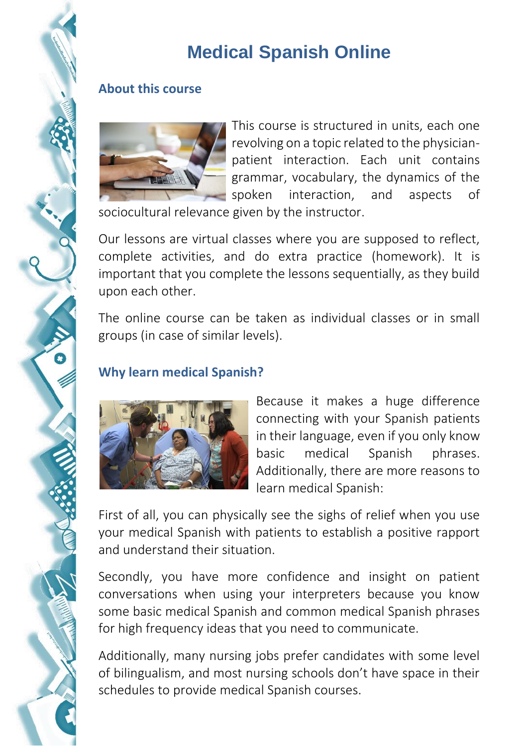# **Medical Spanish Online**

#### **About this course**



This course is structured in units, each one revolving on a topic related to the physicianpatient interaction. Each unit contains grammar, vocabulary, the dynamics of the spoken interaction, and aspects of

sociocultural relevance given by the instructor.

Our lessons are virtual classes where you are supposed to reflect, complete activities, and do extra practice (homework). It is important that you complete the lessons sequentially, as they build upon each other.

The online course can be taken as individual classes or in small groups (in case of similar levels).

#### **Why learn medical Spanish?**



Because it makes a huge difference connecting with your Spanish patients in their language, even if you only know basic medical Spanish phrases. Additionally, there are more reasons to learn medical Spanish:

First of all, you can physically see the sighs of relief when you use your medical Spanish with patients to establish a positive rapport and understand their situation.

Secondly, you have more confidence and insight on patient conversations when using your interpreters because you know some basic medical Spanish and common medical Spanish phrases for high frequency ideas that you need to communicate.

Additionally, many nursing jobs prefer candidates with some level of bilingualism, and most nursing schools don't have space in their schedules to provide medical Spanish courses.